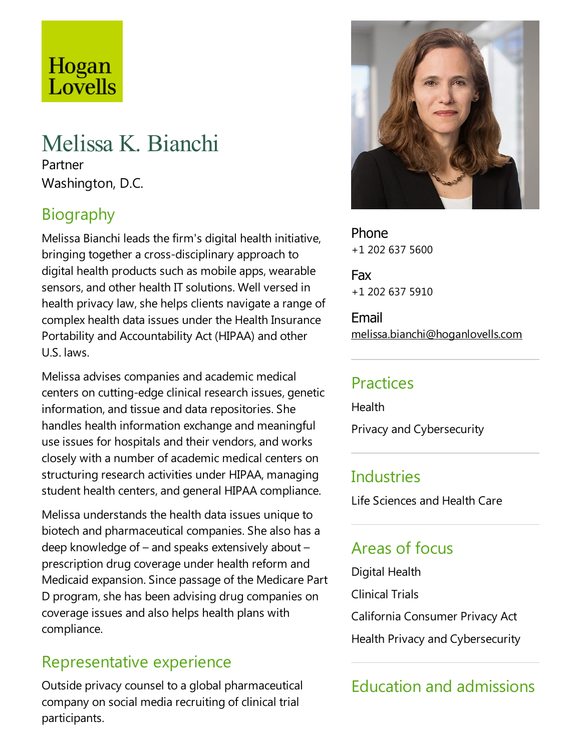# Hogan Lovells

## Melissa K. Bianchi

Partner Washington, D.C.

## Biography

Melissa Bianchi leads the firm's digital health initiative, bringing together a cross-disciplinary approach to digital health products such as mobile apps, wearable sensors, and other health IT solutions. Well versed in health privacy law, she helps clients navigate a range of complex health data issues under the Health Insurance Portability and Accountability Act (HIPAA) and other U.S. laws.

Melissaadvises companies and academic medical centers on cutting-edge clinical research issues, genetic information, and tissue and data repositories. She handles health information exchange and meaningful use issues for hospitals and their vendors, and works closely with a number of academic medical centers on structuring research activities under HIPAA, managing student health centers, and general HIPAA compliance.

Melissa understands the health data issues unique to biotech and pharmaceutical companies. She also has a deep knowledge of  $-$  and speaks extensively about  $$ prescription drug coverage under health reform and Medicaid expansion. Since passage of the Medicare Part D program, she has been advising drug companies on coverage issues and also helps health plans with compliance.

## Representative experience

Outside privacy counsel to a global pharmaceutical company on social media recruiting of clinical trial participants.



Phone +1 202 637 5600

Fax +1 202 637 5910

Email melissa.bianchi@hoganlovells.com

## Practices

Health Privacy and Cybersecurity

#### **Industries**

Life Sciences and Health Care

## Areas of focus

Digital Health Clinical Trials California Consumer Privacy Act Health Privacy and Cybersecurity

## Education and admissions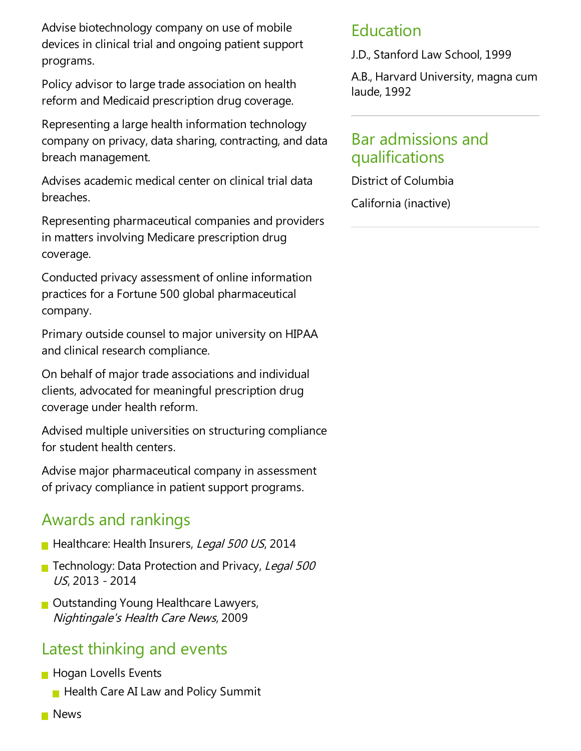Advise biotechnology company on use of mobile devices in clinical trial and ongoing patient support programs.

Policy advisor to large trade association on health reform and Medicaid prescription drug coverage.

Representing alarge health information technology company on privacy, data sharing, contracting, and data breach management.

Advises academic medical center on clinical trial data breaches.

Representing pharmaceutical companies and providers in matters involving Medicare prescription drug coverage.

Conducted privacy assessment of online information practices for a Fortune 500 global pharmaceutical company.

Primary outside counsel to major university on HIPAA and clinical research compliance.

On behalf of major trade associations and individual clients, advocated for meaningful prescription drug coverage under health reform.

Advised multiple universities on structuring compliance for student health centers.

Advise major pharmaceutical company in assessment of privacy compliance in patient support programs.

#### Awards and rankings

- Healthcare: Health Insurers, Legal 500 US, 2014
- Technology: Data Protection and Privacy, Legal 500 US, 2013 - 2014
- Outstanding Young Healthcare Lawyers, Nightingale's Health Care News, 2009

#### Latest thinking and events

- **Hogan Lovells Events** 
	- $\blacksquare$  Health Care AI Law and Policy Summit
- **News**

#### Education

J.D., Stanford Law School, 1999

A.B., Harvard University, magna cum laude, 1992

#### Bar admissions and qualifications

District of Columbia

California (inactive)